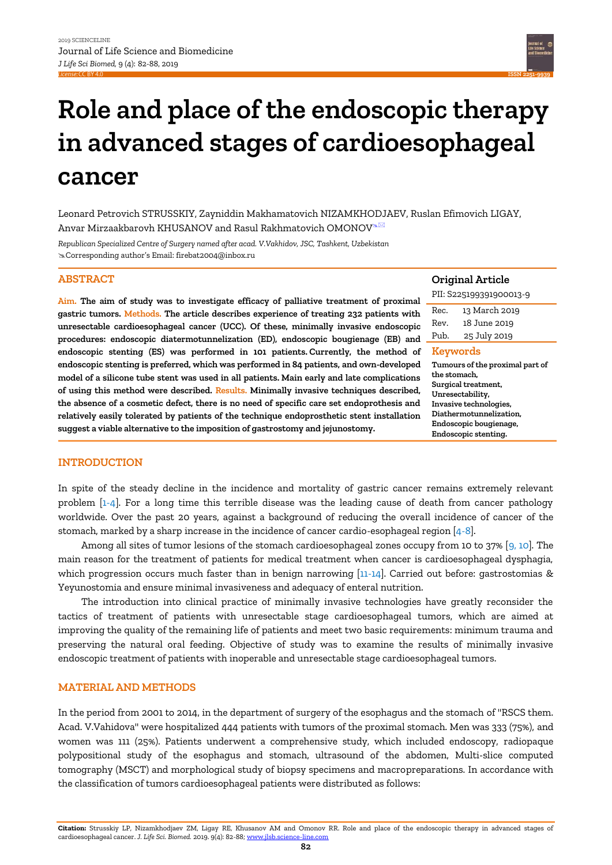

# **Role and place of the endoscopic therapy in advanced stages of cardioesophageal cancer**

Leonard Petrovich STRUSSKIY, Zayniddin Makhamatovich NIZAMKHODJAEV, Ruslan Efimovich LIGAY, Anvar Mirzaakbarovh KHUSANOV and Rasul Rakhmatovich OMONOV<sup>&⊠</sup>

*Republican Specialized Centre of Surgery named after acad. V.Vakhidov, JSC, Tashkent, Uzbekistan* Corresponding author's Email: firebat2004@inbox.ru

#### **ABSTRACT**

**Aim. The aim of study was to investigate efficacy of palliative treatment of proximal gastric tumors. Methods. The article describes experience of treating 232 patients with**  unresectable cardioesophageal cancer (UCC). Of these, minimally invasive endoscopi **procedures: endoscopic diatermotunnelization (ED), endoscopic bougienage (EB) and endoscopic stenting (ES) was performed in 101 patients. Currently, the method of endoscopic stenting is preferred, which was performed in 84 patients, and own-developed model of a silicone tube stent was used in all patients. Main early and late complications of using this method were described. Results. Minimally invasive techniques described,**  the absence of a cosmetic defect, there is no need of specific care set endoprothesis an **relatively easily tolerated by patients of the technique endoprosthetic stent installation suggest a viable alternative to the imposition of gastrostomy and jejunostomy.**

# **Original Article**

| al | PII: S225199391900013-9                    |               |  |
|----|--------------------------------------------|---------------|--|
| h  | Rec.                                       | 13 March 2019 |  |
| ic | Rev.                                       | 18 June 2019  |  |
| d  | Pub.                                       | 25 July 2019  |  |
| эf |                                            | Keywords      |  |
| h. | Tumours of the proximal part of            |               |  |
| ıs | the stomach.                               |               |  |
| d. | Surgical treatment,                        |               |  |
| d  | Unresectability,<br>Invasive technologies, |               |  |
| n  | Diathermotunnelization,                    |               |  |
|    | Endoscopic bougienage,                     |               |  |
|    | Endoscopic stenting.                       |               |  |

## **INTRODUCTION**

In spite of the steady decline in the incidence and mortality of gastric cancer remains extremely relevant problem [\[1-4\].](#page-6-0) For a long time this terrible disease was the leading cause of death from cancer pathology worldwide. Over the past 20 years, against a background of reducing the overall incidence of cancer of the stomach, marked by a sharp increase in the incidence of cancer cardio-esophageal region [\[4-8\].](#page-6-0)

Among all sites of tumor lesions of the stomach cardioesophageal zones occupy from 10 to 37% [\[9, 10\]](#page-6-0). The main reason for the treatment of patients for medical treatment when cancer is cardioesophageal dysphagia, which progression occurs much faster than in benign narrowing [\[11-14\]](#page-6-0). Carried out before: gastrostomias & Yeyunostomia and ensure minimal invasiveness and adequacy of enteral nutrition.

The introduction into clinical practice of minimally invasive technologies have greatly reconsider the tactics of treatment of patients with unresectable stage cardioesophageal tumors, which are aimed at improving the quality of the remaining life of patients and meet two basic requirements: minimum trauma and preserving the natural oral feeding. Objective of study was to examine the results of minimally invasive endoscopic treatment of patients with inoperable and unresectable stage cardioesophageal tumors.

## **MATERIAL AND METHODS**

In the period from 2001 to 2014, in the department of surgery of the esophagus and the stomach of "RSCS them. Acad. V.Vahidova" were hospitalized 444 patients with tumors of the proximal stomach. Men was 333 (75%), and women was 111 (25%). Patients underwent a comprehensive study, which included endoscopy, radiopaque polypositional study of the esophagus and stomach, ultrasound of the abdomen, Multi-slice computed tomography (MSCT) and morphological study of biopsy specimens and macropreparations. In accordance with the classification of tumors cardioesophageal patients were distributed as follows: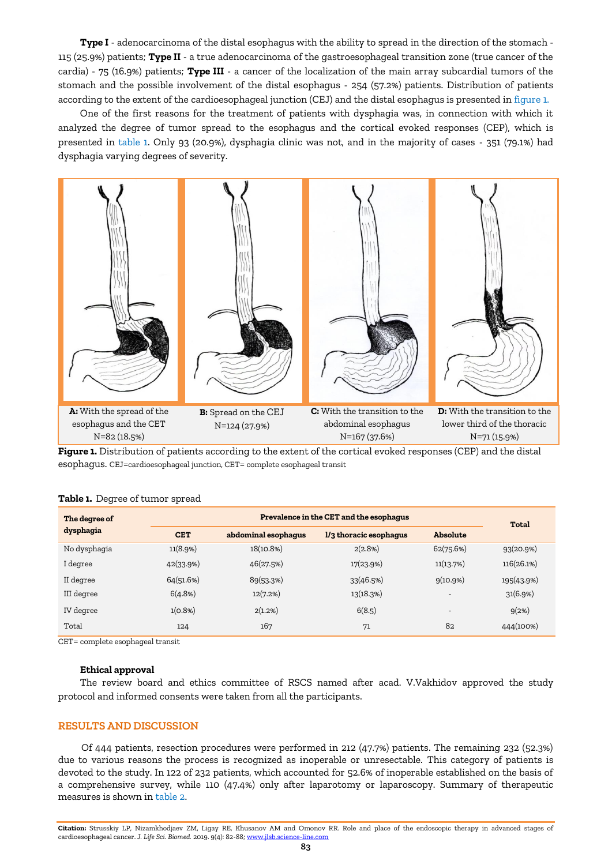**Type I** - adenocarcinoma of the distal esophagus with the ability to spread in the direction of the stomach - 115 (25.9%) patients; **Type II** - a true adenocarcinoma of the gastroesophageal transition zone (true cancer of the cardia) - 75 (16.9%) patients; **Type III** - a cancer of the localization of the main array subcardial tumors of the stomach and the possible involvement of the distal esophagus - 254 (57.2%) patients. Distribution of patients according to the extent of the cardioesophageal junction (CEJ) and the distal esophagus is presented in figure 1.

One of the first reasons for the treatment of patients with dysphagia was, in connection with which it analyzed the degree of tumor spread to the esophagus and the cortical evoked responses (CEP), which is presented in table 1. Only 93 (20.9%), dysphagia clinic was not, and in the majority of cases - 351 (79.1%) had dysphagia varying degrees of severity.



**Figure 1.** Distribution of patients according to the extent of the cortical evoked responses (CEP) and the distal esophagus. CEJ=cardioesophageal junction, CET= complete esophageal transit

|  | Table 1. Degree of tumor spread |  |
|--|---------------------------------|--|
|  |                                 |  |

| The degree of | Prevalence in the CET and the esophagus |                     |                        |                          | Total      |
|---------------|-----------------------------------------|---------------------|------------------------|--------------------------|------------|
| dysphagia     | <b>CET</b>                              | abdominal esophagus | l/3 thoracic esophagus | Absolute                 |            |
| No dysphagia  | 11(8.9%)                                | 18(10.8%)           | 2(2.8%)                | 62(75.6%)                | 93(20.9%)  |
| I degree      | 42(33.9%)                               | 46(27.5%)           | 17(23.9%)              | 11(13.7%)                | 116(26.1%) |
| II degree     | 64(51.6%)                               | 89(53.3%)           | 33(46.5%)              | 9(10.9%)                 | 195(43.9%) |
| III degree    | 6(4.8%)                                 | 12(7.2%)            | 13(18.3%)              | $\overline{\phantom{a}}$ | 31(6.9%)   |
| IV degree     | 1(0.8%)                                 | 2(1.2%)             | 6(8.5)                 | $\overline{\phantom{a}}$ | 9(2%)      |
| Total         | 124                                     | 167                 | 71                     | 82                       | 444(100%)  |

CET= complete esophageal transit

#### **Ethical approval**

The review board and ethics committee of RSCS named after acad. V.Vakhidov approved the study protocol and informed consents were taken from all the participants.

## **RESULTS AND DISCUSSION**

Of 444 patients, resection procedures were performed in 212 (47.7%) patients. The remaining 232 (52.3%) due to various reasons the process is recognized as inoperable or unresectable. This category of patients is devoted to the study. In 122 of 232 patients, which accounted for 52.6% of inoperable established on the basis of a comprehensive survey, while 110 (47.4%) only after laparotomy or laparoscopy. Summary of therapeutic measures is shown in table 2.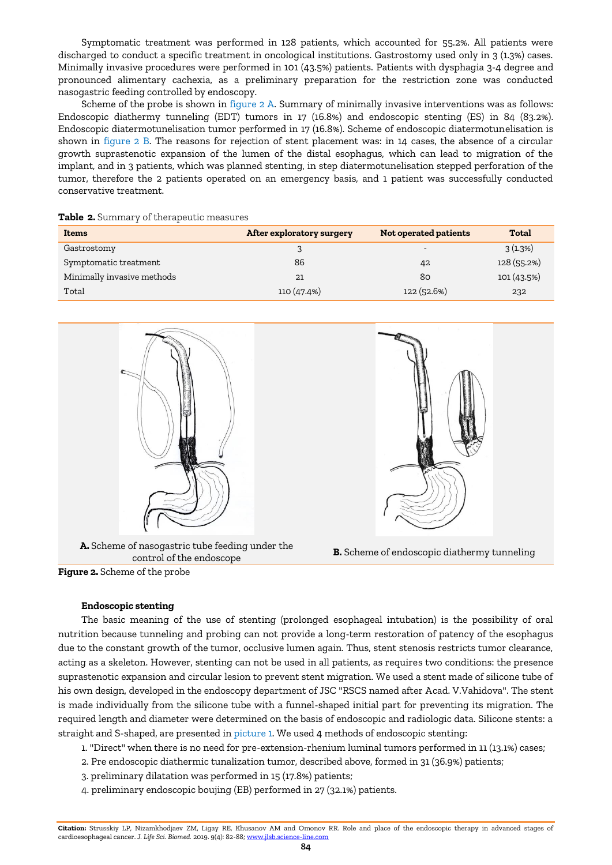Symptomatic treatment was performed in 128 patients, which accounted for 55.2%. All patients were discharged to conduct a specific treatment in oncological institutions. Gastrostomy used only in 3 (1.3%) cases. Minimally invasive procedures were performed in 101 (43.5%) patients. Patients with dysphagia 3-4 degree and pronounced alimentary cachexia, as a preliminary preparation for the restriction zone was conducted nasogastric feeding controlled by endoscopy.

Scheme of the probe is shown in figure 2 A. Summary of minimally invasive interventions was as follows: Endoscopic diathermy tunneling (EDT) tumors in 17 (16.8%) and endoscopic stenting (ES) in 84 (83.2%). Endoscopic diatermotunelisation tumor performed in 17 (16.8%). Scheme of endoscopic diatermotunelisation is shown in figure 2 B. The reasons for rejection of stent placement was: in 14 cases, the absence of a circular growth suprastenotic expansion of the lumen of the distal esophagus, which can lead to migration of the implant, and in 3 patients, which was planned stenting, in step diatermotunelisation stepped perforation of the tumor, therefore the 2 patients operated on an emergency basis, and 1 patient was successfully conducted conservative treatment.

|  |  | Table 2. Summary of therapeutic measures |  |
|--|--|------------------------------------------|--|
|--|--|------------------------------------------|--|

| Items                      | After exploratory surgery | Not operated patients    | Total       |
|----------------------------|---------------------------|--------------------------|-------------|
| Gastrostomy                |                           | $\overline{\phantom{a}}$ | 3(1.3%)     |
| Symptomatic treatment      | 86                        | 42                       | 128 (55.2%) |
| Minimally invasive methods | 21                        | 80                       | 101(43.5%)  |
| Total                      | 110(47.4%)                | 122(52.6%)               | 232         |



**A.** Scheme of nasogastric tube feeding under the control of the endoscope **B.** Scheme of endoscopic diathermy tunneling





**Endoscopic stenting**

The basic meaning of the use of stenting (prolonged esophageal intubation) is the possibility of oral nutrition because tunneling and probing can not provide a long-term restoration of patency of the esophagus due to the constant growth of the tumor, occlusive lumen again. Thus, stent stenosis restricts tumor clearance, acting as a skeleton. However, stenting can not be used in all patients, as requires two conditions: the presence suprastenotic expansion and circular lesion to prevent stent migration. We used a stent made of silicone tube of his own design, developed in the endoscopy department of JSC "RSCS named after Acad. V.Vahidova". The stent is made individually from the silicone tube with a funnel-shaped initial part for preventing its migration. The required length and diameter were determined on the basis of endoscopic and radiologic data. Silicone stents: a straight and S-shaped, are presented in picture 1. We used 4 methods of endoscopic stenting:

- 1. "Direct" when there is no need for pre-extension-rhenium luminal tumors performed in 11 (13.1%) cases;
- 2. Pre endoscopic diathermic tunalization tumor, described above, formed in 31 (36.9%) patients;
- 3. preliminary dilatation was performed in 15 (17.8%) patients;
- 4. preliminary endoscopic boujing (EB) performed in 27 (32.1%) patients.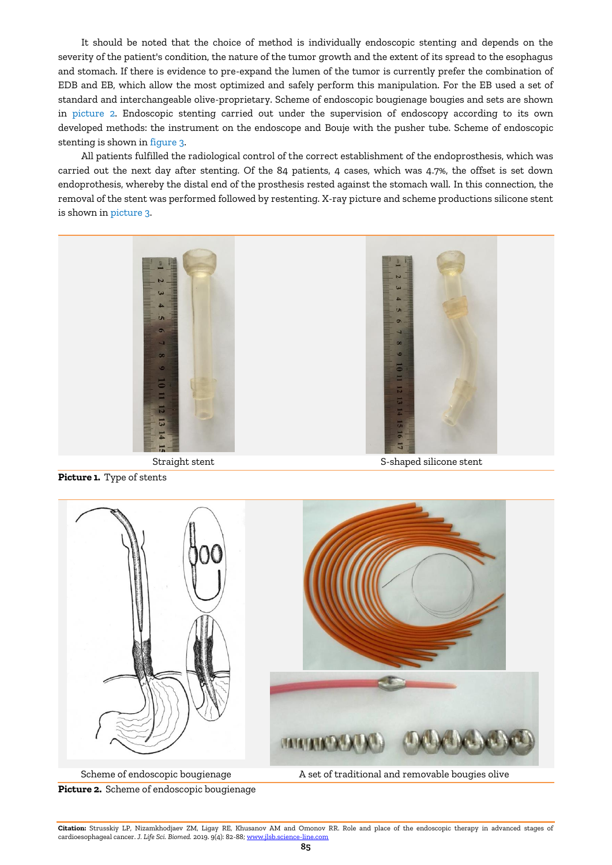It should be noted that the choice of method is individually endoscopic stenting and depends on the severity of the patient's condition, the nature of the tumor growth and the extent of its spread to the esophagus and stomach. If there is evidence to pre-expand the lumen of the tumor is currently prefer the combination of EDB and EB, which allow the most optimized and safely perform this manipulation. For the EB used a set of standard and interchangeable olive-proprietary. Scheme of endoscopic bougienage bougies and sets are shown in picture 2. Endoscopic stenting carried out under the supervision of endoscopy according to its own developed methods: the instrument on the endoscope and Bouje with the pusher tube. Scheme of endoscopic stenting is shown in figure 3.

All patients fulfilled the radiological control of the correct establishment of the endoprosthesis, which was carried out the next day after stenting. Of the 84 patients, 4 cases, which was 4.7%, the offset is set down endoprothesis, whereby the distal end of the prosthesis rested against the stomach wall. In this connection, the removal of the stent was performed followed by restenting. X-ray picture and scheme productions silicone stent is shown in picture 3.



**Picture 1.** Type of stents



**Picture 2.** Scheme of endoscopic bougienage

**Citation:** Strusskiy LP, Nizamkhodjaev ZM, Ligay RE, Khusanov AM and Omonov RR. Role and place of the endoscopic therapy in advanced stages of cardioesophageal cancer. *J. Life Sci. Biomed.* 2019. 9(4): 82-88[; www.jlsb.science-line.com](http://www.jlsb.science-line.com/)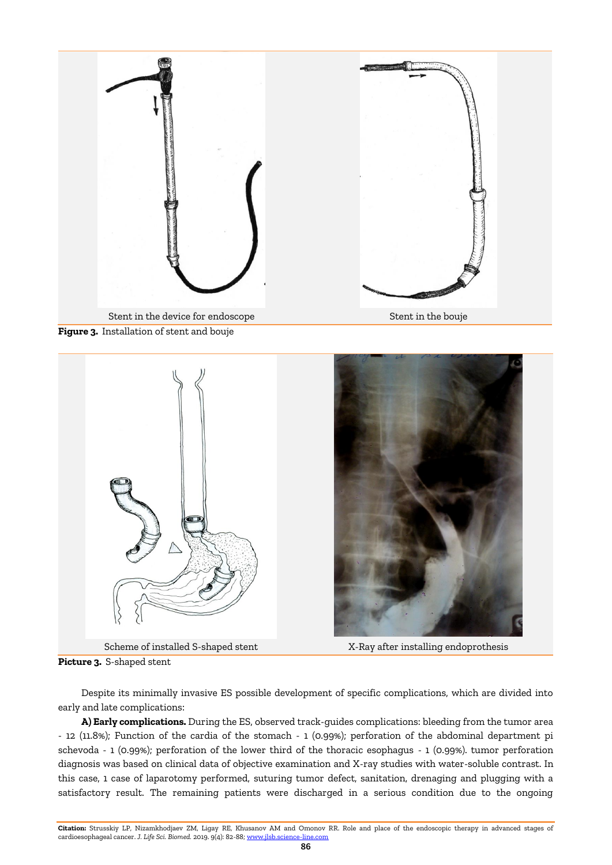





**Picture 3.** S-shaped stent

Despite its minimally invasive ES possible development of specific complications, which are divided into early and late complications:

**A) Early complications.** During the ES, observed track-guides complications: bleeding from the tumor area - 12 (11.8%); Function of the cardia of the stomach - 1 (0.99%); perforation of the abdominal department pi schevoda - 1 (0.99%); perforation of the lower third of the thoracic esophagus - 1 (0.99%). tumor perforation diagnosis was based on clinical data of objective examination and X-ray studies with water-soluble contrast. In this case, 1 case of laparotomy performed, suturing tumor defect, sanitation, drenaging and plugging with a satisfactory result. The remaining patients were discharged in a serious condition due to the ongoing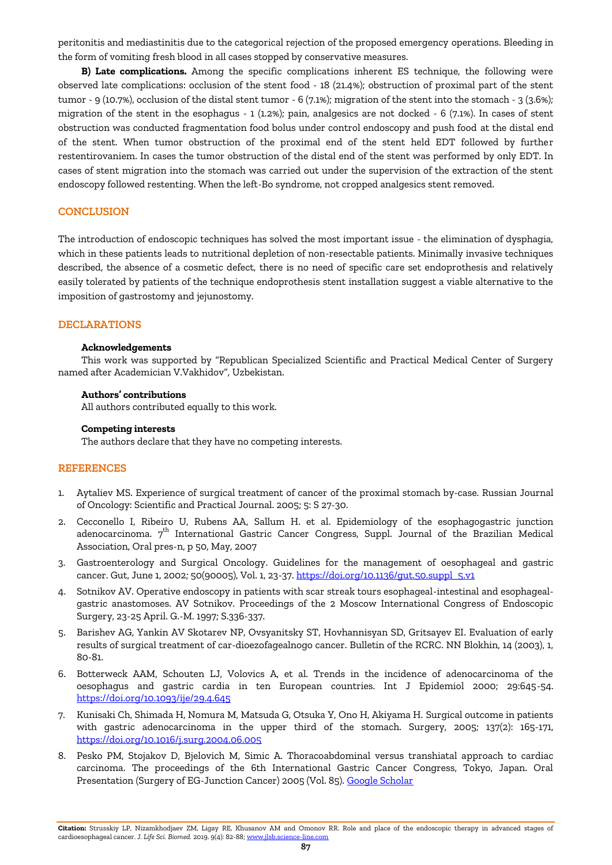peritonitis and mediastinitis due to the categorical rejection of the proposed emergency operations. Bleeding in the form of vomiting fresh blood in all cases stopped by conservative measures.

**B) Late complications.** Among the specific complications inherent ES technique, the following were observed late complications: occlusion of the stent food - 18 (21.4%); obstruction of proximal part of the stent tumor - 9 (10.7%), occlusion of the distal stent tumor - 6 (7.1%); migration of the stent into the stomach - 3 (3.6%); migration of the stent in the esophagus - 1 (1.2%); pain, analgesics are not docked - 6 (7.1%). In cases of stent obstruction was conducted fragmentation food bolus under control endoscopy and push food at the distal end of the stent. When tumor obstruction of the proximal end of the stent held EDT followed by further restentirovaniem. In cases the tumor obstruction of the distal end of the stent was performed by only EDT. In cases of stent migration into the stomach was carried out under the supervision of the extraction of the stent endoscopy followed restenting. When the left-Bo syndrome, not cropped analgesics stent removed.

## **CONCLUSION**

The introduction of endoscopic techniques has solved the most important issue - the elimination of dysphagia, which in these patients leads to nutritional depletion of non-resectable patients. Minimally invasive techniques described, the absence of a cosmetic defect, there is no need of specific care set endoprothesis and relatively easily tolerated by patients of the technique endoprothesis stent installation suggest a viable alternative to the imposition of gastrostomy and jejunostomy.

## **DECLARATIONS**

#### **Acknowledgements**

This work was supported by "Republican Specialized Scientific and Practical Medical Center of Surgery named after Academician V.Vakhidov", Uzbekistan.

#### **Authors' contributions**

All authors contributed equally to this work.

#### **Competing interests**

The authors declare that they have no competing interests.

## **REFERENCES**

- 1. Aytaliev MS. Experience of surgical treatment of cancer of the proximal stomach by-case. Russian Journal of Oncology: Scientific and Practical Journal. 2005; 5: S 27-30.
- 2. Cecconello I, Ribeiro U, Rubens AA, Sallum H. et al. Epidemiology of the esophagogastric junction adenocarcinoma. 7<sup>th</sup> International Gastric Cancer Congress, Suppl. Journal of the Brazilian Medical Association, Oral pres-n, p 50, May, 2007
- 3. Gastroenterology and Surgical Oncology. Guidelines for the management of oesophageal and gastric cancer. Gut, June 1, 2002; 50(90005), Vol. 1, 23-37. [https://doi.org/10.1136/gut.50.suppl\\_5.v1](https://doi.org/10.1136/gut.50.suppl_5.v1)
- 4. Sotnikov AV. Operative endoscopy in patients with scar streak tours esophageal-intestinal and esophagealgastric anastomoses. AV Sotnikov. Proceedings of the 2 Moscow International Congress of Endoscopic Surgery, 23-25 April. G.-M. 1997; S.336-337.
- 5. Barishev AG, Yankin AV Skotarev NP, Ovsyanitsky ST, Hovhannisyan SD, Gritsayev EI. Evaluation of early results of surgical treatment of car-dioezofagealnogo cancer. Bulletin of the RCRC. NN Blokhin, 14 (2003), 1, 80-81.
- 6. Botterweck AAM, Schouten LJ, Volovics A, et al. Trends in the incidence of adenocarcinoma of the oesophagus and gastric cardia in ten European countries. Int J Epidemiol 2000; 29:645-54. <https://doi.org/10.1093/ije/29.4.645>
- 7. Kunisaki Ch, Shimada H, Nomura M, Matsuda G, Otsuka Y, Ono H, Akiyama H. Surgical outcome in patients with gastric adenocarcinoma in the upper third of the stomach. Surgery, 2005; 137(2): 165-171, <https://doi.org/10.1016/j.surg.2004.06.005>
- 8. Pesko PM, Stojakov D, Bjelovich M, Simic A. Thoracoabdominal versus transhiatal approach to cardiac carcinoma. The proceedings of the 6th International Gastric Cancer Congress, Tokyo, Japan. Oral Presentation (Surgery of EG-Junction Cancer) 2005 (Vol. 85). [Google Scholar](https://scholar.google.com/scholar?hl=en&as_sdt=0%2C5&q=8.%09Pesko+P.M.%2C+Stojakov+D.%2C+Bjelovich+M.%2C+Simic+A.+et+al.+Thoracoabdominal+versus+transhiatal+approach+to+cardiac+carcinoma.+The+proceedings+of+the+6th+International+Gastric+Cancer+Congress%2C+Tokyo%2C+Japan%2C+2005%3A+Oral+Presentation+%28Surgery+of+EG-Junction+Cancer%29%2C+p.+85.&btnG=)

**Citation:** Strusskiy LP, Nizamkhodjaev ZM, Ligay RE, Khusanov AM and Omonov RR. Role and place of the endoscopic therapy in advanced stages of cardioesophageal cancer. *J. Life Sci. Biomed.* 2019. 9(4): 82-88[; www.jlsb.science-line.com](http://www.jlsb.science-line.com/)